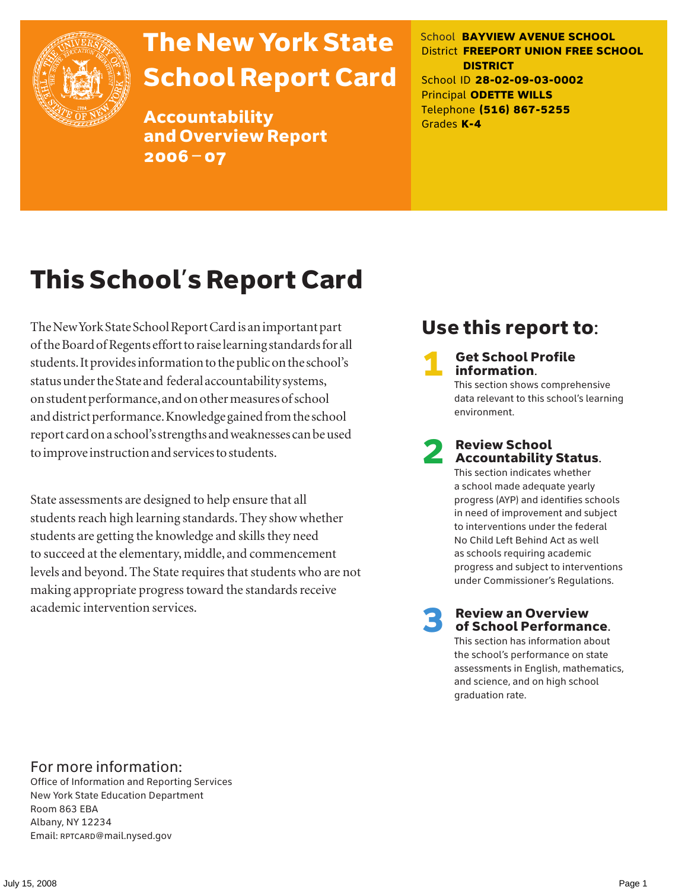

# The New York State School Report Card

Accountability and Overview Report 2006–07

School **BAYVIEW AVENUE SCHOOL** District **FREEPORT UNION FREE SCHOOL DISTRICT** School ID **28-02-09-03-0002** Principal **ODETTE WILLS** Telephone **(516) 867-5255** Grades **K-4**

# This School's Report Card

The New York State School Report Card is an important part of the Board of Regents effort to raise learning standards for all students. It provides information to the public on the school's status under the State and federal accountability systems, on student performance, and on other measures of school and district performance. Knowledge gained from the school report card on a school's strengths and weaknesses can be used to improve instruction and services to students.

State assessments are designed to help ensure that all students reach high learning standards. They show whether students are getting the knowledge and skills they need to succeed at the elementary, middle, and commencement levels and beyond. The State requires that students who are not making appropriate progress toward the standards receive academic intervention services.

# Use this report to:

**Get School Profile** information.

This section shows comprehensive data relevant to this school's learning environment.

# 2 Review School Accountability Status.

This section indicates whether a school made adequate yearly progress (AYP) and identifies schools in need of improvement and subject to interventions under the federal No Child Left Behind Act as well as schools requiring academic progress and subject to interventions under Commissioner's Regulations.

**Review an Overview** of School Performance.

This section has information about the school's performance on state assessments in English, mathematics, and science, and on high school graduation rate.

### For more information:

Office of Information and Reporting Services New York State Education Department Room 863 EBA Albany, NY 12234 Email: RPTCARD@mail.nysed.gov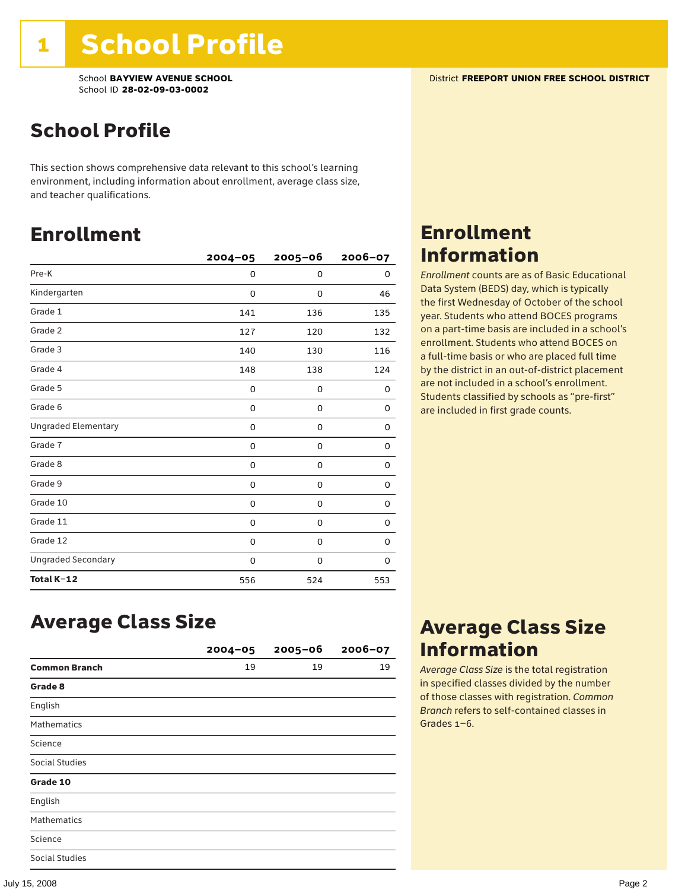# School Profile

This section shows comprehensive data relevant to this school's learning environment, including information about enrollment, average class size, and teacher qualifications.

### Enrollment

|                            | $2004 - 05$ | $2005 - 06$ | 2006-07 |
|----------------------------|-------------|-------------|---------|
| Pre-K                      | 0           | 0           | 0       |
| Kindergarten               | 0           | 0           | 46      |
| Grade 1                    | 141         | 136         | 135     |
| Grade 2                    | 127         | 120         | 132     |
| Grade 3                    | 140         | 130         | 116     |
| Grade 4                    | 148         | 138         | 124     |
| Grade 5                    | 0           | 0           | 0       |
| Grade 6                    | 0           | 0           | 0       |
| <b>Ungraded Elementary</b> | 0           | $\mathbf 0$ | 0       |
| Grade 7                    | 0           | 0           | 0       |
| Grade 8                    | 0           | 0           | 0       |
| Grade 9                    | 0           | 0           | 0       |
| Grade 10                   | 0           | 0           | 0       |
| Grade 11                   | 0           | 0           | 0       |
| Grade 12                   | 0           | 0           | 0       |
| <b>Ungraded Secondary</b>  | 0           | 0           | 0       |
| Total K-12                 | 556         | 524         | 553     |

# Enrollment Information

*Enrollment* counts are as of Basic Educational Data System (BEDS) day, which is typically the first Wednesday of October of the school year. Students who attend BOCES programs on a part-time basis are included in a school's enrollment. Students who attend BOCES on a full-time basis or who are placed full time by the district in an out-of-district placement are not included in a school's enrollment. Students classified by schools as "pre-first" are included in first grade counts.

### Average Class Size

|                       | $2004 - 05$ | $2005 - 06$ | $2006 - 07$ |
|-----------------------|-------------|-------------|-------------|
| <b>Common Branch</b>  | 19          | 19          | 19          |
| Grade 8               |             |             |             |
| English               |             |             |             |
| <b>Mathematics</b>    |             |             |             |
| Science               |             |             |             |
| <b>Social Studies</b> |             |             |             |
| Grade 10              |             |             |             |
| English               |             |             |             |
| <b>Mathematics</b>    |             |             |             |
| Science               |             |             |             |
| <b>Social Studies</b> |             |             |             |

### Average Class Size Information

*Average Class Size* is the total registration in specified classes divided by the number of those classes with registration. *Common Branch* refers to self-contained classes in Grades 1–6.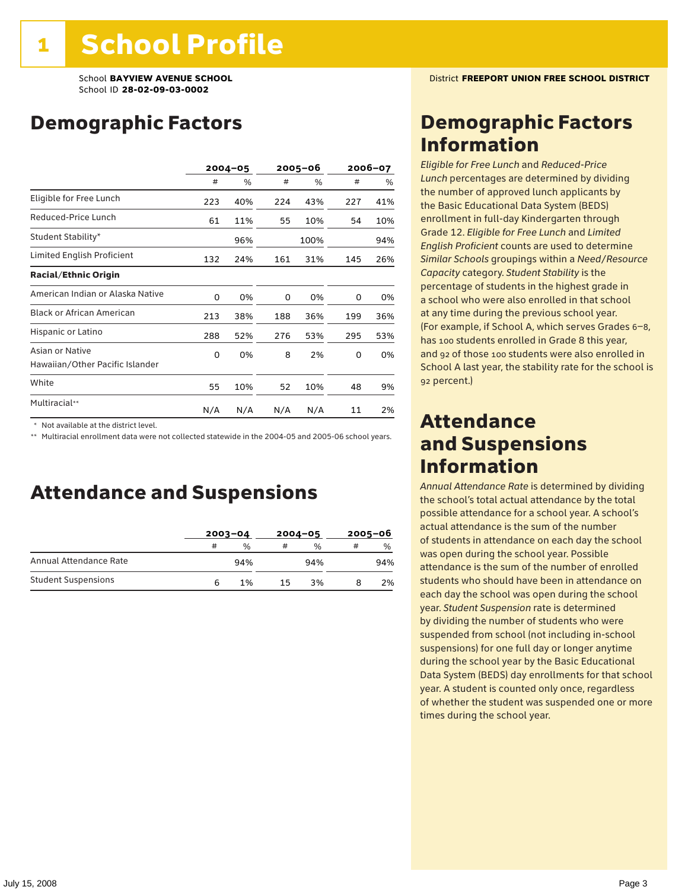### Demographic Factors

|                                                    |     | $2004 - 05$ |     | 2005-06 |     | 2006-07 |  |
|----------------------------------------------------|-----|-------------|-----|---------|-----|---------|--|
|                                                    | #   | %           | #   | %       | #   | %       |  |
| Eligible for Free Lunch                            | 223 | 40%         | 224 | 43%     | 227 | 41%     |  |
| Reduced-Price Lunch                                | 61  | 11%         | 55  | 10%     | 54  | 10%     |  |
| Student Stability*                                 |     | 96%         |     | 100%    |     | 94%     |  |
| Limited English Proficient                         | 132 | 24%         | 161 | 31%     | 145 | 26%     |  |
| <b>Racial/Ethnic Origin</b>                        |     |             |     |         |     |         |  |
| American Indian or Alaska Native                   | 0   | 0%          | 0   | 0%      | 0   | 0%      |  |
| <b>Black or African American</b>                   | 213 | 38%         | 188 | 36%     | 199 | 36%     |  |
| Hispanic or Latino                                 | 288 | 52%         | 276 | 53%     | 295 | 53%     |  |
| Asian or Native<br>Hawaiian/Other Pacific Islander | 0   | 0%          | 8   | 2%      | 0   | 0%      |  |
| White                                              | 55  | 10%         | 52  | 10%     | 48  | 9%      |  |
| Multiracial**                                      | N/A | N/A         | N/A | N/A     | 11  | 2%      |  |

\* Not available at the district level.

\*\* Multiracial enrollment data were not collected statewide in the 2004-05 and 2005-06 school years.

### Attendance and Suspensions

|                            |   | $2003 - 04$   |    | $2004 - 05$   | $2005 - 06$ |               |
|----------------------------|---|---------------|----|---------------|-------------|---------------|
|                            | # | $\frac{0}{0}$ | #  | $\frac{0}{0}$ | #           | $\frac{0}{0}$ |
| Annual Attendance Rate     |   | 94%           |    | 94%           |             | 94%           |
| <b>Student Suspensions</b> | 6 | 1%            | 15 | 3%            |             | 2%            |

### Demographic Factors Information

*Eligible for Free Lunch* and *Reduced*-*Price Lunch* percentages are determined by dividing the number of approved lunch applicants by the Basic Educational Data System (BEDS) enrollment in full-day Kindergarten through Grade 12. *Eligible for Free Lunch* and *Limited English Proficient* counts are used to determine *Similar Schools* groupings within a *Need*/*Resource Capacity* category. *Student Stability* is the percentage of students in the highest grade in a school who were also enrolled in that school at any time during the previous school year. (For example, if School A, which serves Grades 6–8, has 100 students enrolled in Grade 8 this year, and 92 of those 100 students were also enrolled in School A last year, the stability rate for the school is 92 percent.)

### Attendance and Suspensions Information

*Annual Attendance Rate* is determined by dividing the school's total actual attendance by the total possible attendance for a school year. A school's actual attendance is the sum of the number of students in attendance on each day the school was open during the school year. Possible attendance is the sum of the number of enrolled students who should have been in attendance on each day the school was open during the school year. *Student Suspension* rate is determined by dividing the number of students who were suspended from school (not including in-school suspensions) for one full day or longer anytime during the school year by the Basic Educational Data System (BEDS) day enrollments for that school year. A student is counted only once, regardless of whether the student was suspended one or more times during the school year.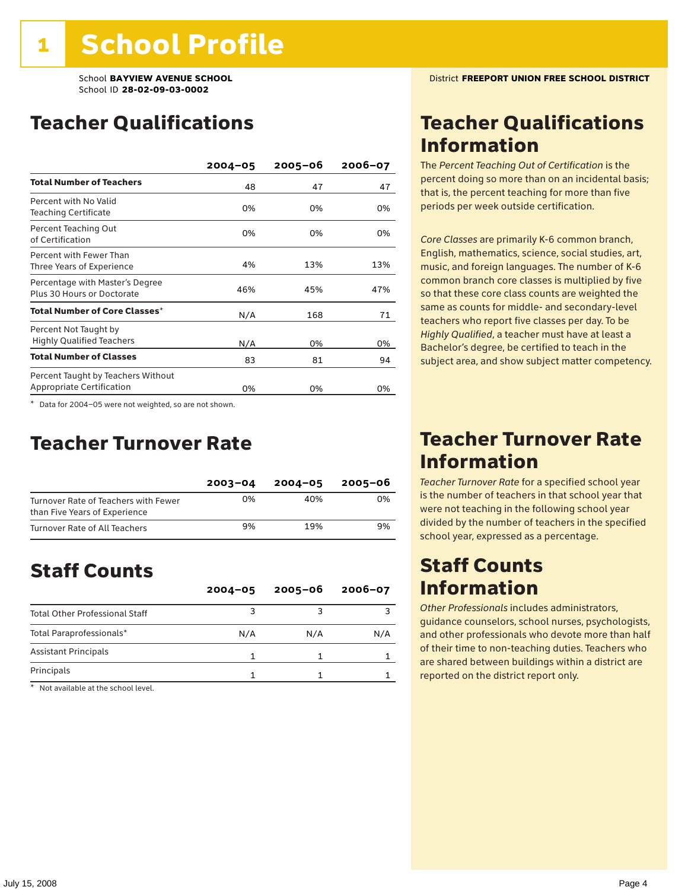### Teacher Qualifications

|                                                                        | $2004 - 05$ | $2005 - 06$ | 2006-07 |
|------------------------------------------------------------------------|-------------|-------------|---------|
| <b>Total Number of Teachers</b>                                        | 48          | 47          | 47      |
| Percent with No Valid<br><b>Teaching Certificate</b>                   | 0%          | 0%          | 0%      |
| Percent Teaching Out<br>of Certification                               | 0%          | 0%          | 0%      |
| Percent with Fewer Than<br>Three Years of Experience                   | 4%          | 13%         | 13%     |
| Percentage with Master's Degree<br>Plus 30 Hours or Doctorate          | 46%         | 45%         | 47%     |
| Total Number of Core Classes <sup>*</sup>                              | N/A         | 168         | 71      |
| Percent Not Taught by<br><b>Highly Qualified Teachers</b>              | N/A         | 0%          | 0%      |
| <b>Total Number of Classes</b>                                         | 83          | 81          | 94      |
| Percent Taught by Teachers Without<br><b>Appropriate Certification</b> | 0%          | 0%          | 0%      |

\* Data for 2004–05 were not weighted, so are not shown.

### Teacher Turnover Rate

|                                                                       | $2003 - 04$ | $2004 - 05$ | 2005-06 |
|-----------------------------------------------------------------------|-------------|-------------|---------|
| Turnover Rate of Teachers with Fewer<br>than Five Years of Experience | 0%          | 40%         | 0%      |
| Turnover Rate of All Teachers                                         | 9%          | 19%         | 9%      |

# Staff Counts

|                                       | $2004 - 05$ | $2005 - 06$ | $2006 - 07$ |
|---------------------------------------|-------------|-------------|-------------|
| <b>Total Other Professional Staff</b> |             |             |             |
| Total Paraprofessionals*              | N/A         | N/A         | N/A         |
| <b>Assistant Principals</b>           |             |             |             |
| Principals                            |             |             |             |

\* Not available at the school level.

### Teacher Qualifications Information

The *Percent Teaching Out of Certification* is the percent doing so more than on an incidental basis; that is, the percent teaching for more than five periods per week outside certification.

*Core Classes* are primarily K-6 common branch, English, mathematics, science, social studies, art, music, and foreign languages. The number of K-6 common branch core classes is multiplied by five so that these core class counts are weighted the same as counts for middle- and secondary-level teachers who report five classes per day. To be *Highly Qualified*, a teacher must have at least a Bachelor's degree, be certified to teach in the subject area, and show subject matter competency.

### Teacher Turnover Rate Information

*Teacher Turnover Rate* for a specified school year is the number of teachers in that school year that were not teaching in the following school year divided by the number of teachers in the specified school year, expressed as a percentage.

### Staff Counts Information

*Other Professionals* includes administrators, guidance counselors, school nurses, psychologists, and other professionals who devote more than half of their time to non-teaching duties. Teachers who are shared between buildings within a district are reported on the district report only.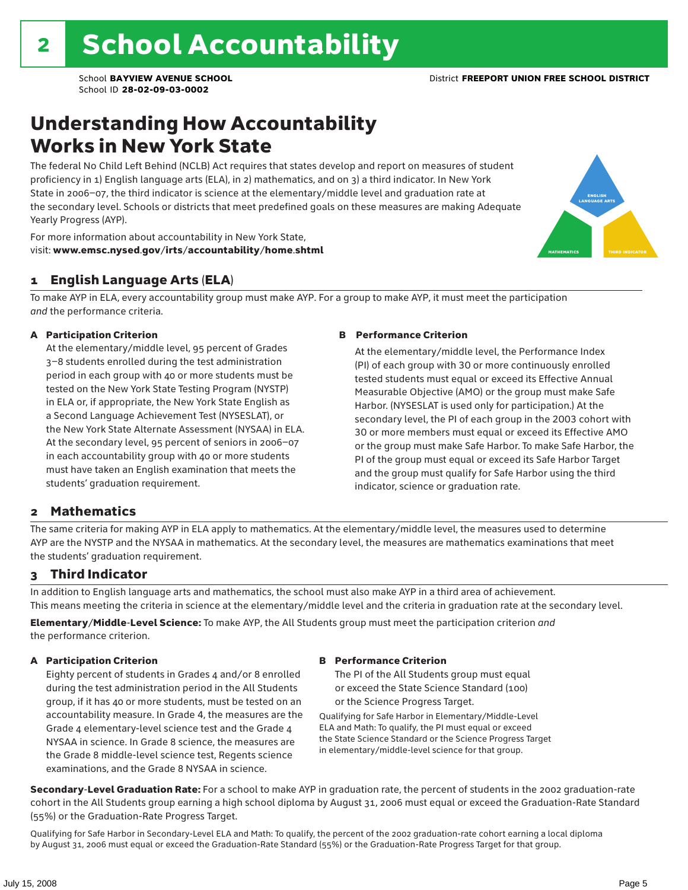### Understanding How Accountability Works in New York State

The federal No Child Left Behind (NCLB) Act requires that states develop and report on measures of student proficiency in 1) English language arts (ELA), in 2) mathematics, and on 3) a third indicator. In New York State in 2006–07, the third indicator is science at the elementary/middle level and graduation rate at the secondary level. Schools or districts that meet predefined goals on these measures are making Adequate Yearly Progress (AYP).



For more information about accountability in New York State, visit: www.emsc.nysed.gov/irts/accountability/home.shtml

### 1 English Language Arts (ELA)

To make AYP in ELA, every accountability group must make AYP. For a group to make AYP, it must meet the participation *and* the performance criteria.

#### A Participation Criterion

At the elementary/middle level, 95 percent of Grades 3–8 students enrolled during the test administration period in each group with 40 or more students must be tested on the New York State Testing Program (NYSTP) in ELA or, if appropriate, the New York State English as a Second Language Achievement Test (NYSESLAT), or the New York State Alternate Assessment (NYSAA) in ELA. At the secondary level, 95 percent of seniors in 2006–07 in each accountability group with 40 or more students must have taken an English examination that meets the students' graduation requirement.

#### B Performance Criterion

At the elementary/middle level, the Performance Index (PI) of each group with 30 or more continuously enrolled tested students must equal or exceed its Effective Annual Measurable Objective (AMO) or the group must make Safe Harbor. (NYSESLAT is used only for participation.) At the secondary level, the PI of each group in the 2003 cohort with 30 or more members must equal or exceed its Effective AMO or the group must make Safe Harbor. To make Safe Harbor, the PI of the group must equal or exceed its Safe Harbor Target and the group must qualify for Safe Harbor using the third indicator, science or graduation rate.

### 2 Mathematics

The same criteria for making AYP in ELA apply to mathematics. At the elementary/middle level, the measures used to determine AYP are the NYSTP and the NYSAA in mathematics. At the secondary level, the measures are mathematics examinations that meet the students' graduation requirement.

### 3 Third Indicator

In addition to English language arts and mathematics, the school must also make AYP in a third area of achievement. This means meeting the criteria in science at the elementary/middle level and the criteria in graduation rate at the secondary level.

Elementary/Middle-Level Science: To make AYP, the All Students group must meet the participation criterion *and* the performance criterion.

#### A Participation Criterion

Eighty percent of students in Grades 4 and/or 8 enrolled during the test administration period in the All Students group, if it has 40 or more students, must be tested on an accountability measure. In Grade 4, the measures are the Grade 4 elementary-level science test and the Grade 4 NYSAA in science. In Grade 8 science, the measures are the Grade 8 middle-level science test, Regents science examinations, and the Grade 8 NYSAA in science.

#### B Performance Criterion

The PI of the All Students group must equal or exceed the State Science Standard (100) or the Science Progress Target.

Qualifying for Safe Harbor in Elementary/Middle-Level ELA and Math: To qualify, the PI must equal or exceed the State Science Standard or the Science Progress Target in elementary/middle-level science for that group.

Secondary-Level Graduation Rate: For a school to make AYP in graduation rate, the percent of students in the 2002 graduation-rate cohort in the All Students group earning a high school diploma by August 31, 2006 must equal or exceed the Graduation-Rate Standard (55%) or the Graduation-Rate Progress Target.

Qualifying for Safe Harbor in Secondary-Level ELA and Math: To qualify, the percent of the 2002 graduation-rate cohort earning a local diploma by August 31, 2006 must equal or exceed the Graduation-Rate Standard (55%) or the Graduation-Rate Progress Target for that group.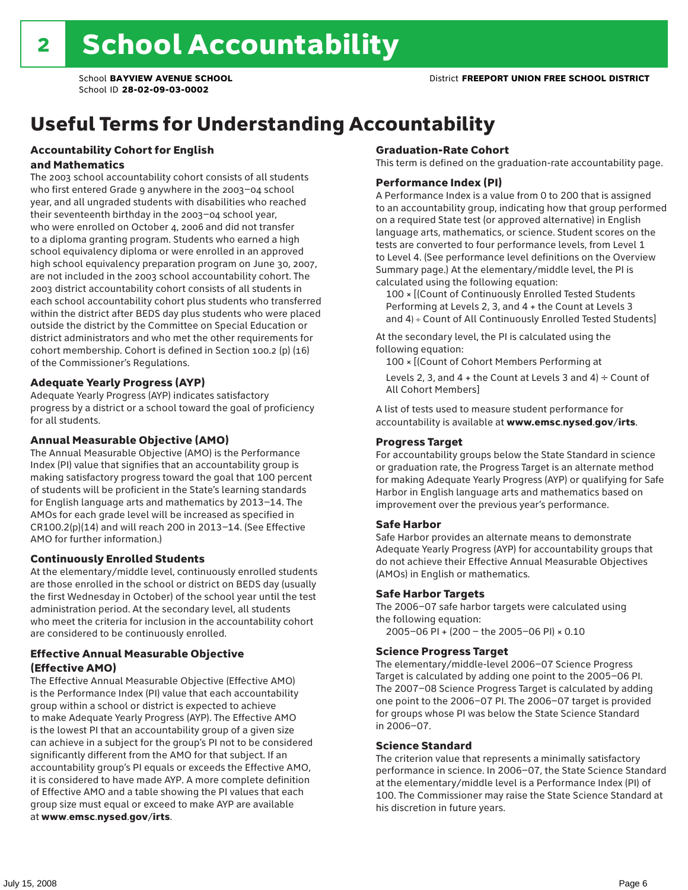# Useful Terms for Understanding Accountability

#### Accountability Cohort for English and Mathematics

The 2003 school accountability cohort consists of all students who first entered Grade 9 anywhere in the 2003–04 school year, and all ungraded students with disabilities who reached their seventeenth birthday in the 2003–04 school year, who were enrolled on October 4, 2006 and did not transfer to a diploma granting program. Students who earned a high school equivalency diploma or were enrolled in an approved high school equivalency preparation program on June 30, 2007, are not included in the 2003 school accountability cohort. The 2003 district accountability cohort consists of all students in each school accountability cohort plus students who transferred within the district after BEDS day plus students who were placed outside the district by the Committee on Special Education or district administrators and who met the other requirements for cohort membership. Cohort is defined in Section 100.2 (p) (16) of the Commissioner's Regulations.

#### Adequate Yearly Progress (AYP)

Adequate Yearly Progress (AYP) indicates satisfactory progress by a district or a school toward the goal of proficiency for all students.

#### Annual Measurable Objective (AMO)

The Annual Measurable Objective (AMO) is the Performance Index (PI) value that signifies that an accountability group is making satisfactory progress toward the goal that 100 percent of students will be proficient in the State's learning standards for English language arts and mathematics by 2013–14. The AMOs for each grade level will be increased as specified in CR100.2(p)(14) and will reach 200 in 2013–14. (See Effective AMO for further information.)

#### Continuously Enrolled Students

At the elementary/middle level, continuously enrolled students are those enrolled in the school or district on BEDS day (usually the first Wednesday in October) of the school year until the test administration period. At the secondary level, all students who meet the criteria for inclusion in the accountability cohort are considered to be continuously enrolled.

### Effective Annual Measurable Objective (Effective AMO)

The Effective Annual Measurable Objective (Effective AMO) is the Performance Index (PI) value that each accountability group within a school or district is expected to achieve to make Adequate Yearly Progress (AYP). The Effective AMO is the lowest PI that an accountability group of a given size can achieve in a subject for the group's PI not to be considered significantly different from the AMO for that subject. If an accountability group's PI equals or exceeds the Effective AMO, it is considered to have made AYP. A more complete definition of Effective AMO and a table showing the PI values that each group size must equal or exceed to make AYP are available at www.emsc.nysed.gov/irts.

#### Graduation-Rate Cohort

This term is defined on the graduation-rate accountability page.

#### Performance Index (PI)

A Performance Index is a value from 0 to 200 that is assigned to an accountability group, indicating how that group performed on a required State test (or approved alternative) in English language arts, mathematics, or science. Student scores on the tests are converted to four performance levels, from Level 1 to Level 4. (See performance level definitions on the Overview Summary page.) At the elementary/middle level, the PI is calculated using the following equation:

100 × [(Count of Continuously Enrolled Tested Students Performing at Levels 2, 3, and 4 + the Count at Levels 3 and 4) ÷ Count of All Continuously Enrolled Tested Students]

At the secondary level, the PI is calculated using the following equation:

100 × [(Count of Cohort Members Performing at

Levels 2, 3, and 4 + the Count at Levels 3 and 4)  $\div$  Count of All Cohort Members]

A list of tests used to measure student performance for accountability is available at www.emsc.nysed.gov/irts.

#### Progress Target

For accountability groups below the State Standard in science or graduation rate, the Progress Target is an alternate method for making Adequate Yearly Progress (AYP) or qualifying for Safe Harbor in English language arts and mathematics based on improvement over the previous year's performance.

#### Safe Harbor

Safe Harbor provides an alternate means to demonstrate Adequate Yearly Progress (AYP) for accountability groups that do not achieve their Effective Annual Measurable Objectives (AMOs) in English or mathematics.

#### Safe Harbor Targets

The 2006–07 safe harbor targets were calculated using the following equation:

2005–06 PI + (200 – the 2005–06 PI) × 0.10

#### Science Progress Target

The elementary/middle-level 2006–07 Science Progress Target is calculated by adding one point to the 2005–06 PI. The 2007–08 Science Progress Target is calculated by adding one point to the 2006–07 PI. The 2006–07 target is provided for groups whose PI was below the State Science Standard in 2006–07.

#### Science Standard

The criterion value that represents a minimally satisfactory performance in science. In 2006–07, the State Science Standard at the elementary/middle level is a Performance Index (PI) of 100. The Commissioner may raise the State Science Standard at his discretion in future years.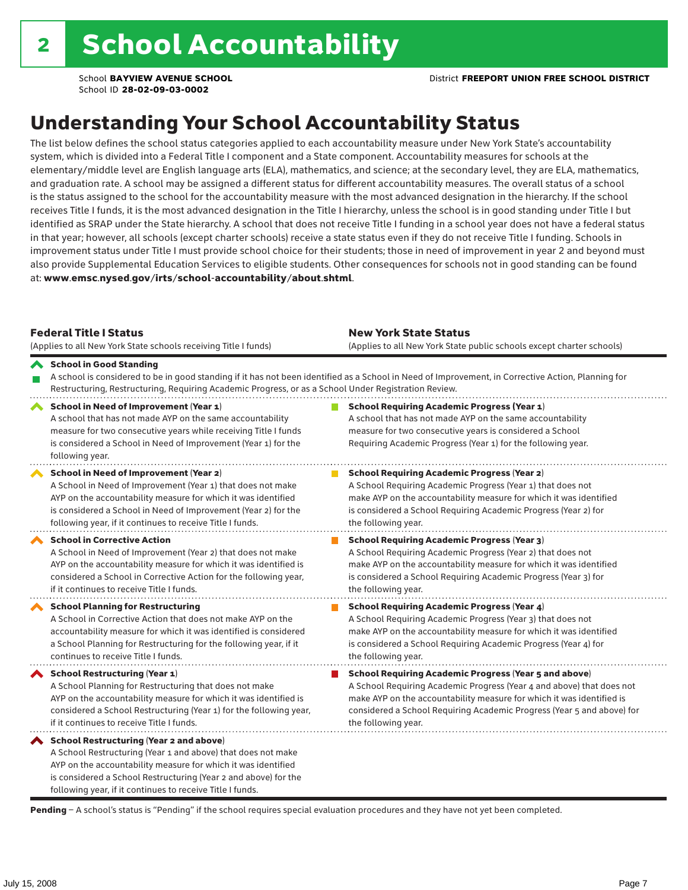# Understanding Your School Accountability Status

The list below defines the school status categories applied to each accountability measure under New York State's accountability system, which is divided into a Federal Title I component and a State component. Accountability measures for schools at the elementary/middle level are English language arts (ELA), mathematics, and science; at the secondary level, they are ELA, mathematics, and graduation rate. A school may be assigned a different status for different accountability measures. The overall status of a school is the status assigned to the school for the accountability measure with the most advanced designation in the hierarchy. If the school receives Title I funds, it is the most advanced designation in the Title I hierarchy, unless the school is in good standing under Title I but identified as SRAP under the State hierarchy. A school that does not receive Title I funding in a school year does not have a federal status in that year; however, all schools (except charter schools) receive a state status even if they do not receive Title I funding. Schools in improvement status under Title I must provide school choice for their students; those in need of improvement in year 2 and beyond must also provide Supplemental Education Services to eligible students. Other consequences for schools not in good standing can be found at: www.emsc.nysed.gov/irts/school-accountability/about.shtml.

| <b>Federal Title I Status</b><br>(Applies to all New York State schools receiving Title I funds)                                                                                                                                                                                                         | <b>New York State Status</b><br>(Applies to all New York State public schools except charter schools)                                                                                                                                                                                                           |
|----------------------------------------------------------------------------------------------------------------------------------------------------------------------------------------------------------------------------------------------------------------------------------------------------------|-----------------------------------------------------------------------------------------------------------------------------------------------------------------------------------------------------------------------------------------------------------------------------------------------------------------|
| School in Good Standing<br>Restructuring, Restructuring, Requiring Academic Progress, or as a School Under Registration Review.                                                                                                                                                                          | A school is considered to be in good standing if it has not been identified as a School in Need of Improvement, in Corrective Action, Planning for                                                                                                                                                              |
| School in Need of Improvement (Year 1)<br>A school that has not made AYP on the same accountability<br>measure for two consecutive years while receiving Title I funds<br>is considered a School in Need of Improvement (Year 1) for the<br>following year.                                              | <b>School Requiring Academic Progress (Year 1)</b><br>A school that has not made AYP on the same accountability<br>measure for two consecutive years is considered a School<br>Requiring Academic Progress (Year 1) for the following year.                                                                     |
| School in Need of Improvement (Year 2)<br>A School in Need of Improvement (Year 1) that does not make<br>AYP on the accountability measure for which it was identified<br>is considered a School in Need of Improvement (Year 2) for the<br>following year, if it continues to receive Title I funds.    | <b>School Requiring Academic Progress (Year 2)</b><br>A School Requiring Academic Progress (Year 1) that does not<br>make AYP on the accountability measure for which it was identified<br>is considered a School Requiring Academic Progress (Year 2) for<br>the following year.                               |
| <b>School in Corrective Action</b><br>A School in Need of Improvement (Year 2) that does not make<br>AYP on the accountability measure for which it was identified is<br>considered a School in Corrective Action for the following year,<br>if it continues to receive Title I funds.                   | <b>School Requiring Academic Progress (Year 3)</b><br>A School Requiring Academic Progress (Year 2) that does not<br>make AYP on the accountability measure for which it was identified<br>is considered a School Requiring Academic Progress (Year 3) for<br>the following year.                               |
| <b>School Planning for Restructuring</b><br>A School in Corrective Action that does not make AYP on the<br>accountability measure for which it was identified is considered<br>a School Planning for Restructuring for the following year, if it<br>continues to receive Title I funds.                  | <b>School Requiring Academic Progress (Year 4)</b><br>A School Requiring Academic Progress (Year 3) that does not<br>make AYP on the accountability measure for which it was identified<br>is considered a School Requiring Academic Progress (Year 4) for<br>the following year.                               |
| School Restructuring (Year 1)<br>A School Planning for Restructuring that does not make<br>AYP on the accountability measure for which it was identified is<br>considered a School Restructuring (Year 1) for the following year,<br>if it continues to receive Title I funds.                           | <b>School Requiring Academic Progress (Year 5 and above)</b><br>A School Requiring Academic Progress (Year 4 and above) that does not<br>make AYP on the accountability measure for which it was identified is<br>considered a School Requiring Academic Progress (Year 5 and above) for<br>the following year. |
| School Restructuring (Year 2 and above)<br>A School Restructuring (Year 1 and above) that does not make<br>AYP on the accountability measure for which it was identified<br>is considered a School Restructuring (Year 2 and above) for the<br>following year, if it continues to receive Title I funds. |                                                                                                                                                                                                                                                                                                                 |

Pending - A school's status is "Pending" if the school requires special evaluation procedures and they have not yet been completed.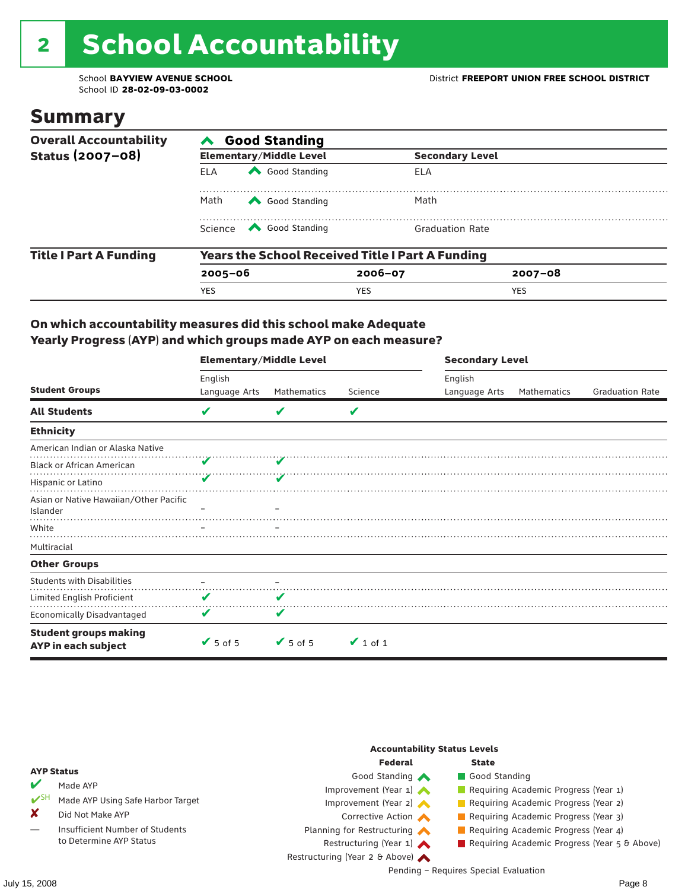# 2 School Accountability

School ID **28-02-09-03-0002**

### Summary

| <b>Overall Accountability</b> | <b>Good Standing</b>                                    |                                                                                                                                                                                                                                                                                                                                                 |                        |             |  |  |  |
|-------------------------------|---------------------------------------------------------|-------------------------------------------------------------------------------------------------------------------------------------------------------------------------------------------------------------------------------------------------------------------------------------------------------------------------------------------------|------------------------|-------------|--|--|--|
| Status (2007-08)              |                                                         | <b>Elementary/Middle Level</b>                                                                                                                                                                                                                                                                                                                  | <b>Secondary Level</b> |             |  |  |  |
|                               | <b>ELA</b>                                              | Good Standing                                                                                                                                                                                                                                                                                                                                   | ELA                    |             |  |  |  |
|                               | Math                                                    | Good Standing                                                                                                                                                                                                                                                                                                                                   | Math                   |             |  |  |  |
|                               |                                                         | Science <a> Science</a> Science Science Science <a> Science <a> Science <a> Science <a> Science <a> Science <a> Science <a> Science <a> Science <a> Science <a> Science <a<br></a<br> Science <a> Science <a> Science <a<br <="" th=""><th><b>Graduation Rate</b></th><th></th><th></th></a<br></a></a></a></a></a></a></a></a></a></a></a></a> | <b>Graduation Rate</b> |             |  |  |  |
| <b>Title I Part A Funding</b> | <b>Years the School Received Title I Part A Funding</b> |                                                                                                                                                                                                                                                                                                                                                 |                        |             |  |  |  |
|                               | $2005 - 06$                                             |                                                                                                                                                                                                                                                                                                                                                 | $2006 - 07$            | $2007 - 08$ |  |  |  |
|                               | <b>YES</b>                                              |                                                                                                                                                                                                                                                                                                                                                 | <b>YES</b>             | <b>YES</b>  |  |  |  |

### On which accountability measures did this school make Adequate Yearly Progress (AYP) and which groups made AYP on each measure?

|                                                     | <b>Elementary/Middle Level</b> |                              |               | <b>Secondary Level</b> |             |                        |  |
|-----------------------------------------------------|--------------------------------|------------------------------|---------------|------------------------|-------------|------------------------|--|
|                                                     | English                        |                              |               | English                |             |                        |  |
| <b>Student Groups</b>                               | Language Arts                  | Mathematics                  | Science       | Language Arts          | Mathematics | <b>Graduation Rate</b> |  |
| <b>All Students</b>                                 | V                              | v                            | V             |                        |             |                        |  |
| <b>Ethnicity</b>                                    |                                |                              |               |                        |             |                        |  |
| American Indian or Alaska Native                    |                                |                              |               |                        |             |                        |  |
| <b>Black or African American</b>                    |                                |                              |               |                        |             |                        |  |
| Hispanic or Latino                                  | V                              |                              |               |                        |             |                        |  |
| Asian or Native Hawaiian/Other Pacific<br>Islander  |                                |                              |               |                        |             |                        |  |
| White                                               |                                |                              |               |                        |             |                        |  |
| Multiracial                                         |                                |                              |               |                        |             |                        |  |
| <b>Other Groups</b>                                 |                                |                              |               |                        |             |                        |  |
| <b>Students with Disabilities</b>                   |                                |                              |               |                        |             |                        |  |
| Limited English Proficient                          | V                              | v                            |               |                        |             |                        |  |
| <b>Economically Disadvantaged</b>                   | V                              | V                            |               |                        |             |                        |  |
| <b>Student groups making</b><br>AYP in each subject | $\sqrt{5}$ of 5                | $\blacktriangleright$ 5 of 5 | $\vee$ 1 of 1 |                        |             |                        |  |

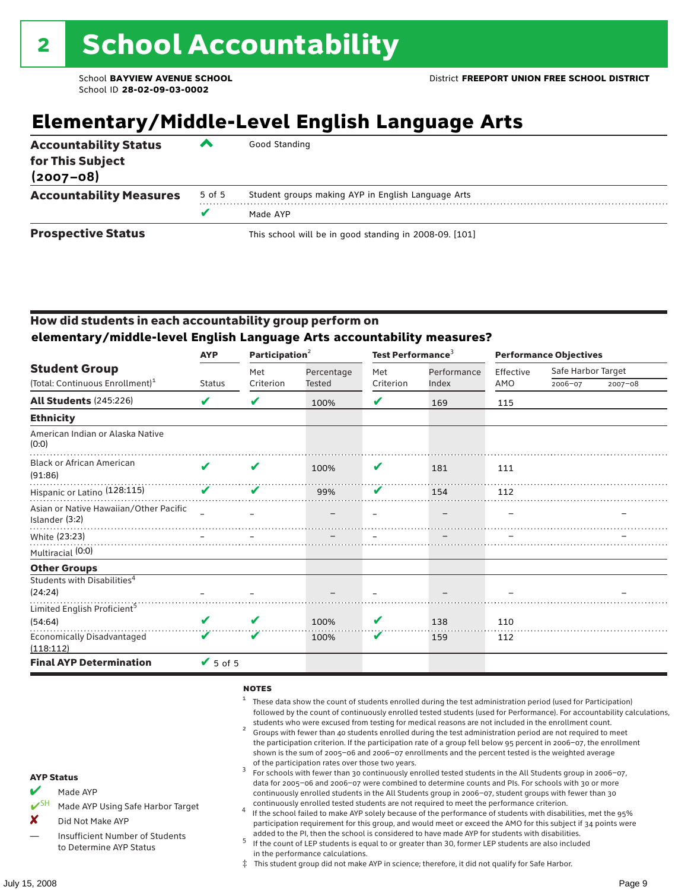# **Elementary/Middle-Level English Language Arts**

| <b>Accountability Status</b><br>for This Subject<br>$(2007 - 08)$ | ▰      | Good Standing                                          |  |  |  |  |
|-------------------------------------------------------------------|--------|--------------------------------------------------------|--|--|--|--|
| <b>Accountability Measures</b>                                    | 5 of 5 | Student groups making AYP in English Language Arts     |  |  |  |  |
|                                                                   | v      | Made AYP                                               |  |  |  |  |
| <b>Prospective Status</b>                                         |        | This school will be in good standing in 2008-09. [101] |  |  |  |  |

### How did students in each accountability group perform on **elementary/middle-level English Language Arts accountability measures?**

|                                                          | Participation <sup>2</sup><br><b>AYP</b> |           |               | Test Performance <sup>3</sup> |             | <b>Performance Objectives</b> |                    |             |
|----------------------------------------------------------|------------------------------------------|-----------|---------------|-------------------------------|-------------|-------------------------------|--------------------|-------------|
| <b>Student Group</b>                                     |                                          | Met       | Percentage    | Met                           | Performance | Effective                     | Safe Harbor Target |             |
| (Total: Continuous Enrollment) <sup>1</sup>              | <b>Status</b>                            | Criterion | <b>Tested</b> | Criterion                     | Index       | AMO                           | 2006-07            | $2007 - 08$ |
| <b>All Students (245:226)</b>                            | V                                        | V         | 100%          | V                             | 169         | 115                           |                    |             |
| <b>Ethnicity</b>                                         |                                          |           |               |                               |             |                               |                    |             |
| American Indian or Alaska Native<br>(0:0)                |                                          |           |               |                               |             |                               |                    |             |
| <b>Black or African American</b><br>(91:86)              | $\boldsymbol{\mathcal{L}}$               | ✔         | 100%          | V                             | 181         | 111                           |                    |             |
| Hispanic or Latino (128:115)                             | V                                        | V         | 99%           | V                             | 154         | 112                           |                    |             |
| Asian or Native Hawaiian/Other Pacific<br>Islander (3:2) |                                          |           |               |                               |             |                               |                    |             |
| White (23:23)                                            |                                          |           |               |                               |             |                               |                    |             |
| Multiracial (0:0)                                        |                                          |           |               |                               |             |                               |                    |             |
| <b>Other Groups</b>                                      |                                          |           |               |                               |             |                               |                    |             |
| Students with Disabilities <sup>4</sup><br>(24:24)       |                                          |           |               |                               |             |                               |                    |             |
| Limited English Proficient <sup>5</sup>                  |                                          |           |               |                               |             |                               |                    |             |
| (54:64)                                                  | V                                        | V         | 100%          | V                             | 138         | 110                           |                    |             |
| <b>Economically Disadvantaged</b><br>(118:112)           | V                                        | V         | 100%          | V                             | 159         | 112                           |                    |             |
| <b>Final AYP Determination</b>                           | $\sqrt{5}$ of 5                          |           |               |                               |             |                               |                    |             |

#### **NOTES**

- $1$  These data show the count of students enrolled during the test administration period (used for Participation) followed by the count of continuously enrolled tested students (used for Performance). For accountability calculations,
- students who were excused from testing for medical reasons are not included in the enrollment count. <sup>2</sup> Groups with fewer than 40 students enrolled during the test administration period are not required to meet the participation criterion. If the participation rate of a group fell below 95 percent in 2006–07, the enrollment shown is the sum of 2005–06 and 2006–07 enrollments and the percent tested is the weighted average
- of the participation rates over those two years.<br><sup>3</sup> For schools with fewer than 30 continuously enrolled tested students in the All Students group in 2006–07, data for 2005–06 and 2006–07 were combined to determine counts and PIs. For schools with 30 or more continuously enrolled students in the All Students group in 2006–07, student groups with fewer than 30
- continuously enrolled tested students are not required to meet the performance criterion. <sup>4</sup> If the school failed to make AYP solely because of the performance of students with disabilities, met the 95% participation requirement for this group, and would meet or exceed the AMO for this subject if 34 points were added to the PI, then the school is considered to have made AYP for students with disabilities.
- $5$  If the count of LEP students is equal to or greater than 30, former LEP students are also included in the performance calculations.
- ‡ This student group did not make AYP in science; therefore, it did not qualify for Safe Harbor.
- $M$  Made AYP
	- Made AYP Using Safe Harbor Target
- X Did Not Make AYP
- Insufficient Number of Students to Determine AYP Status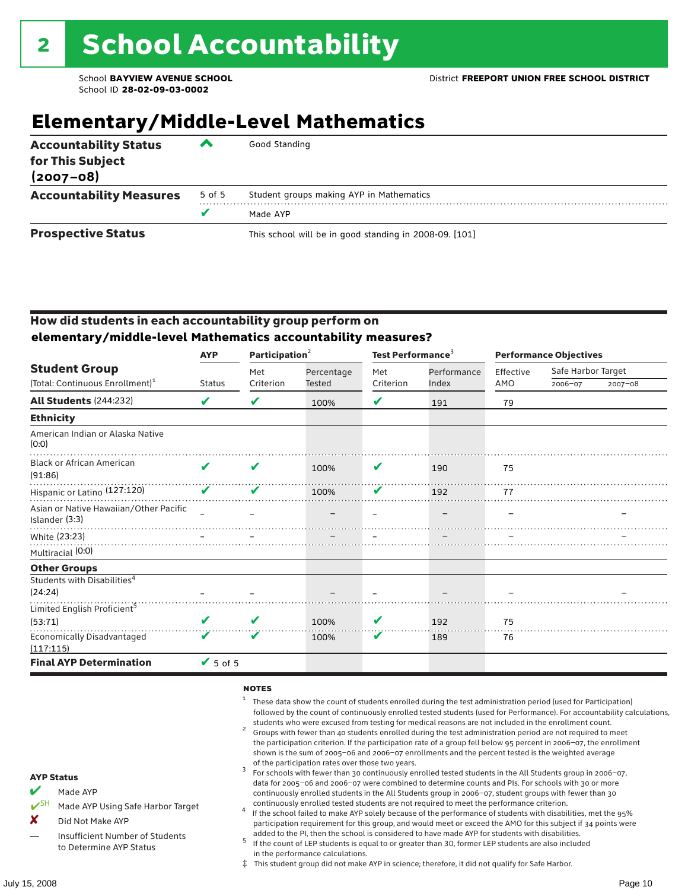# **Elementary/Middle-Level Mathematics**

| <b>Accountability Status</b><br>for This Subject<br>$(2007 - 08)$ | ▰      | Good Standing                                          |
|-------------------------------------------------------------------|--------|--------------------------------------------------------|
| <b>Accountability Measures</b>                                    | 5 of 5 | Student groups making AYP in Mathematics               |
|                                                                   | v      | Made AYP                                               |
| <b>Prospective Status</b>                                         |        | This school will be in good standing in 2008-09. [101] |

### How did students in each accountability group perform on **elementary/middle-level Mathematics accountability measures?**

|                                                          | <b>AYP</b>      | Participation <sup>2</sup> |               | Test Performance <sup>3</sup> |             |           | <b>Performance Objectives</b> |         |  |  |
|----------------------------------------------------------|-----------------|----------------------------|---------------|-------------------------------|-------------|-----------|-------------------------------|---------|--|--|
| <b>Student Group</b>                                     |                 | Met                        | Percentage    | Met                           | Performance | Effective | Safe Harbor Target            |         |  |  |
| (Total: Continuous Enrollment) <sup>1</sup>              | <b>Status</b>   | Criterion                  | <b>Tested</b> | Criterion                     | Index       | AMO       | 2006-07                       | 2007-08 |  |  |
| <b>All Students (244:232)</b>                            | V               | V                          | 100%          | V                             | 191         | 79        |                               |         |  |  |
| <b>Ethnicity</b>                                         |                 |                            |               |                               |             |           |                               |         |  |  |
| American Indian or Alaska Native<br>(0:0)                |                 |                            |               |                               |             |           |                               |         |  |  |
| <b>Black or African American</b><br>(91:86)              | ✔               | ✔                          | 100%          | V                             | 190         | 75        |                               |         |  |  |
| Hispanic or Latino (127:120)                             | ✔               | ✔                          | 100%          | V                             | 192         | 77        |                               |         |  |  |
| Asian or Native Hawaiian/Other Pacific<br>Islander (3:3) |                 |                            |               |                               |             |           |                               |         |  |  |
| White (23:23)                                            |                 |                            |               |                               |             |           |                               |         |  |  |
| Multiracial (0:0)                                        |                 |                            |               |                               |             |           |                               |         |  |  |
| <b>Other Groups</b>                                      |                 |                            |               |                               |             |           |                               |         |  |  |
| Students with Disabilities <sup>4</sup><br>(24:24)       |                 |                            |               |                               |             |           |                               |         |  |  |
| Limited English Proficient <sup>5</sup>                  |                 |                            |               |                               |             |           |                               |         |  |  |
| (53:71)                                                  |                 | V                          | 100%          | V                             | 192         | 75        |                               |         |  |  |
| <b>Economically Disadvantaged</b><br>(117:115)           | v               | V                          | 100%          | V                             | 189         | 76        |                               |         |  |  |
| <b>Final AYP Determination</b>                           | $\sqrt{5}$ of 5 |                            |               |                               |             |           |                               |         |  |  |

#### **NOTES**

- $1$  These data show the count of students enrolled during the test administration period (used for Participation) followed by the count of continuously enrolled tested students (used for Performance). For accountability calculations,
- students who were excused from testing for medical reasons are not included in the enrollment count.<br><sup>2</sup> Groups with fewer than 40 students enrolled during the test administration period are not required to meet the participation criterion. If the participation rate of a group fell below 95 percent in 2006–07, the enrollment shown is the sum of 2005–06 and 2006–07 enrollments and the percent tested is the weighted average
- of the participation rates over those two years.<br><sup>3</sup> For schools with fewer than 30 continuously enrolled tested students in the All Students group in 2006–07, data for 2005–06 and 2006–07 were combined to determine counts and PIs. For schools with 30 or more continuously enrolled students in the All Students group in 2006–07, student groups with fewer than 30
- continuously enrolled tested students are not required to meet the performance criterion. <sup>4</sup> If the school failed to make AYP solely because of the performance of students with disabilities, met the 95% participation requirement for this group, and would meet or exceed the AMO for this subject if 34 points were added to the PI, then the school is considered to have made AYP for students with disabilities.
- $5$  If the count of LEP students is equal to or greater than 30, former LEP students are also included in the performance calculations.
- ‡ This student group did not make AYP in science; therefore, it did not qualify for Safe Harbor.
- Made AYP
	- Made AYP Using Safe Harbor Target
- X Did Not Make AYP
- Insufficient Number of Students to Determine AYP Status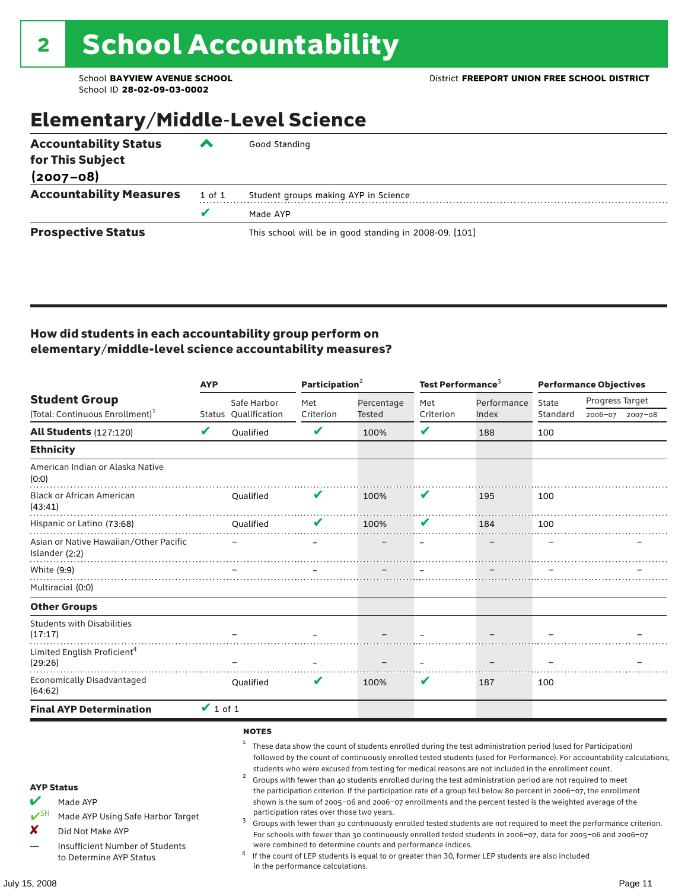### Elementary/Middle-Level Science

| <b>Accountability Status</b><br>for This Subject<br>$(2007 - 08)$ | ‴      | Good Standing                                          |
|-------------------------------------------------------------------|--------|--------------------------------------------------------|
|                                                                   |        |                                                        |
| <b>Accountability Measures</b>                                    | 1 of 1 | Student groups making AYP in Science                   |
|                                                                   | v      | Made AYP                                               |
| <b>Prospective Status</b>                                         |        | This school will be in good standing in 2008-09. [101] |

### How did students in each accountability group perform on elementary/middle-level science accountability measures?

|                                                                                                                                                                                   | <b>AYP</b>    |                                     | Participation <sup>2</sup>                                                    |                                                            | Test Performance <sup>3</sup> |                                                                                                                                                                                                                                                                                                                                                                                                                                                                                                                                                                                                                                                                              | <b>Performance Objectives</b> |                                                                                                                                                                                                                                                                                                                                                                 |  |
|-----------------------------------------------------------------------------------------------------------------------------------------------------------------------------------|---------------|-------------------------------------|-------------------------------------------------------------------------------|------------------------------------------------------------|-------------------------------|------------------------------------------------------------------------------------------------------------------------------------------------------------------------------------------------------------------------------------------------------------------------------------------------------------------------------------------------------------------------------------------------------------------------------------------------------------------------------------------------------------------------------------------------------------------------------------------------------------------------------------------------------------------------------|-------------------------------|-----------------------------------------------------------------------------------------------------------------------------------------------------------------------------------------------------------------------------------------------------------------------------------------------------------------------------------------------------------------|--|
| <b>Student Group</b>                                                                                                                                                              |               | Safe Harbor                         | Met                                                                           | Percentage                                                 | Met                           | Performance                                                                                                                                                                                                                                                                                                                                                                                                                                                                                                                                                                                                                                                                  | State                         | Progress Target                                                                                                                                                                                                                                                                                                                                                 |  |
| (Total: Continuous Enrollment) <sup>1</sup>                                                                                                                                       |               | Status Qualification                | Criterion                                                                     | Tested                                                     | Criterion                     | Index                                                                                                                                                                                                                                                                                                                                                                                                                                                                                                                                                                                                                                                                        | Standard                      | 2006-07<br>$2007 - 08$                                                                                                                                                                                                                                                                                                                                          |  |
| <b>All Students (127:120)</b>                                                                                                                                                     | $\mathbf v$   | Qualified                           | $\mathbf v$                                                                   | 100%                                                       | V                             | 188                                                                                                                                                                                                                                                                                                                                                                                                                                                                                                                                                                                                                                                                          | 100                           |                                                                                                                                                                                                                                                                                                                                                                 |  |
| <b>Ethnicity</b>                                                                                                                                                                  |               |                                     |                                                                               |                                                            |                               |                                                                                                                                                                                                                                                                                                                                                                                                                                                                                                                                                                                                                                                                              |                               |                                                                                                                                                                                                                                                                                                                                                                 |  |
| American Indian or Alaska Native<br>(0:0)                                                                                                                                         |               |                                     |                                                                               |                                                            |                               |                                                                                                                                                                                                                                                                                                                                                                                                                                                                                                                                                                                                                                                                              |                               |                                                                                                                                                                                                                                                                                                                                                                 |  |
| <b>Black or African American</b><br>(43:41)                                                                                                                                       |               | <b>Oualified</b>                    | V                                                                             | 100%                                                       | V                             | 195                                                                                                                                                                                                                                                                                                                                                                                                                                                                                                                                                                                                                                                                          | 100                           |                                                                                                                                                                                                                                                                                                                                                                 |  |
| Hispanic or Latino (73:68)                                                                                                                                                        |               | <b>Oualified</b>                    |                                                                               | 100%                                                       | V                             | 184                                                                                                                                                                                                                                                                                                                                                                                                                                                                                                                                                                                                                                                                          | 100                           |                                                                                                                                                                                                                                                                                                                                                                 |  |
| Asian or Native Hawaiian/Other Pacific<br>Islander (2:2)                                                                                                                          |               |                                     |                                                                               |                                                            |                               |                                                                                                                                                                                                                                                                                                                                                                                                                                                                                                                                                                                                                                                                              |                               |                                                                                                                                                                                                                                                                                                                                                                 |  |
| White (9:9)                                                                                                                                                                       |               |                                     |                                                                               |                                                            |                               |                                                                                                                                                                                                                                                                                                                                                                                                                                                                                                                                                                                                                                                                              |                               |                                                                                                                                                                                                                                                                                                                                                                 |  |
| Multiracial (0:0)                                                                                                                                                                 |               |                                     |                                                                               |                                                            |                               |                                                                                                                                                                                                                                                                                                                                                                                                                                                                                                                                                                                                                                                                              |                               |                                                                                                                                                                                                                                                                                                                                                                 |  |
| <b>Other Groups</b>                                                                                                                                                               |               |                                     |                                                                               |                                                            |                               |                                                                                                                                                                                                                                                                                                                                                                                                                                                                                                                                                                                                                                                                              |                               |                                                                                                                                                                                                                                                                                                                                                                 |  |
| <b>Students with Disabilities</b><br>(17:17)                                                                                                                                      |               |                                     |                                                                               |                                                            |                               |                                                                                                                                                                                                                                                                                                                                                                                                                                                                                                                                                                                                                                                                              |                               |                                                                                                                                                                                                                                                                                                                                                                 |  |
| Limited English Proficient <sup>4</sup><br>(29:26)                                                                                                                                |               |                                     |                                                                               |                                                            |                               |                                                                                                                                                                                                                                                                                                                                                                                                                                                                                                                                                                                                                                                                              |                               |                                                                                                                                                                                                                                                                                                                                                                 |  |
| <b>Economically Disadvantaged</b><br>(64:62)                                                                                                                                      |               | Qualified                           |                                                                               | 100%                                                       | V                             | 187                                                                                                                                                                                                                                                                                                                                                                                                                                                                                                                                                                                                                                                                          | 100                           |                                                                                                                                                                                                                                                                                                                                                                 |  |
| <b>Final AYP Determination</b>                                                                                                                                                    | $\vee$ 1 of 1 |                                     |                                                                               |                                                            |                               |                                                                                                                                                                                                                                                                                                                                                                                                                                                                                                                                                                                                                                                                              |                               |                                                                                                                                                                                                                                                                                                                                                                 |  |
| <b>AYP Status</b><br>V<br>Made AYP<br>$V^{\text{SH}}$<br>Made AYP Using Safe Harbor Target<br>X<br>Did Not Make AYP<br>Insufficient Number of Students<br>to Determine AYP Status |               | <b>NOTES</b><br>$\overline{a}$<br>3 | participation rates over those two years.<br>in the performance calculations. | were combined to determine counts and performance indices. |                               | These data show the count of students enrolled during the test administration period (used for Participation)<br>students who were excused from testing for medical reasons are not included in the enrollment count.<br>Groups with fewer than 40 students enrolled during the test administration period are not required to meet<br>the participation criterion. If the participation rate of a group fell below 80 percent in 2006-07, the enrollment<br>shown is the sum of 2005-06 and 2006-07 enrollments and the percent tested is the weighted average of the<br>If the count of LEP students is equal to or greater than 30, former LEP students are also included |                               | followed by the count of continuously enrolled tested students (used for Performance). For accountability calculations,<br>Groups with fewer than 30 continuously enrolled tested students are not required to meet the performance criterion.<br>For schools with fewer than 30 continuously enrolled tested students in 2006-07, data for 2005-06 and 2006-07 |  |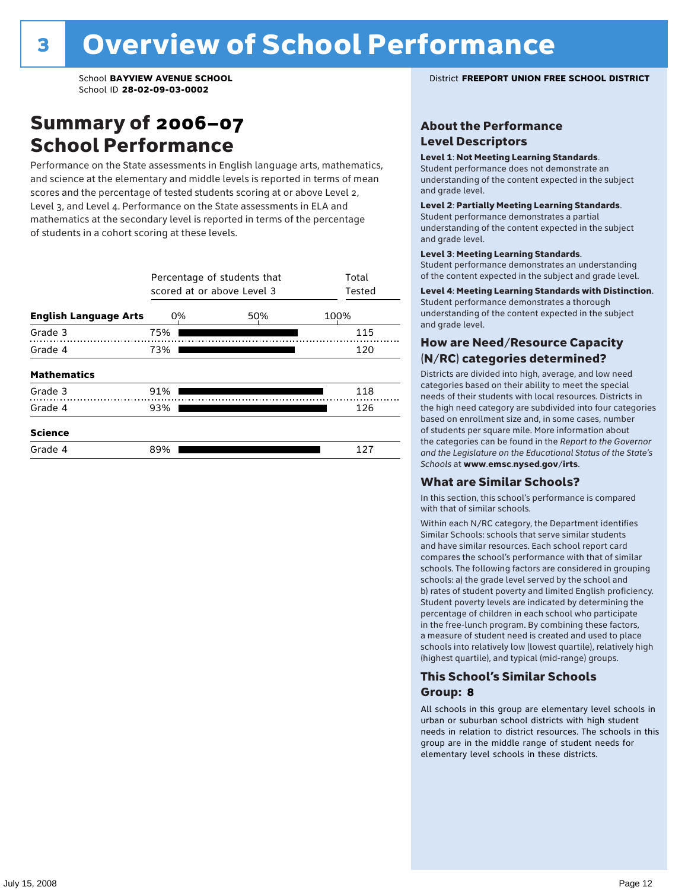### Summary of 2006–07 School Performance

Performance on the State assessments in English language arts, mathematics, and science at the elementary and middle levels is reported in terms of mean scores and the percentage of tested students scoring at or above Level 2, Level 3, and Level 4. Performance on the State assessments in ELA and mathematics at the secondary level is reported in terms of the percentage of students in a cohort scoring at these levels.

|                              | Percentage of students that<br>scored at or above Level 3 |     | Total<br>Tested |     |
|------------------------------|-----------------------------------------------------------|-----|-----------------|-----|
| <b>English Language Arts</b> | 0%                                                        | 50% | 100%            |     |
| Grade 3                      | 75%                                                       |     |                 | 115 |
| Grade 4                      | 73%                                                       |     |                 | 120 |
| <b>Mathematics</b>           |                                                           |     |                 |     |
| Grade 3                      | 91%                                                       |     |                 | 118 |
| Grade 4                      | 93%                                                       |     |                 | 126 |
| <b>Science</b>               |                                                           |     |                 |     |
| Grade 4                      | 89%                                                       |     |                 | 127 |

#### School **BAYVIEW AVENUE SCHOOL** District **FREEPORT UNION FREE SCHOOL DISTRICT**

### About the Performance Level Descriptors

#### Level 1: Not Meeting Learning Standards.

Student performance does not demonstrate an understanding of the content expected in the subject and grade level.

#### Level 2: Partially Meeting Learning Standards.

Student performance demonstrates a partial understanding of the content expected in the subject and grade level.

#### Level 3: Meeting Learning Standards.

Student performance demonstrates an understanding of the content expected in the subject and grade level.

#### Level 4: Meeting Learning Standards with Distinction.

Student performance demonstrates a thorough understanding of the content expected in the subject and grade level.

### How are Need/Resource Capacity (N/RC) categories determined?

Districts are divided into high, average, and low need categories based on their ability to meet the special needs of their students with local resources. Districts in the high need category are subdivided into four categories based on enrollment size and, in some cases, number of students per square mile. More information about the categories can be found in the *Report to the Governor and the Legislature on the Educational Status of the State's Schools* at www.emsc.nysed.gov/irts.

#### What are Similar Schools?

In this section, this school's performance is compared with that of similar schools.

Within each N/RC category, the Department identifies Similar Schools: schools that serve similar students and have similar resources. Each school report card compares the school's performance with that of similar schools. The following factors are considered in grouping schools: a) the grade level served by the school and b) rates of student poverty and limited English proficiency. Student poverty levels are indicated by determining the percentage of children in each school who participate in the free-lunch program. By combining these factors, a measure of student need is created and used to place schools into relatively low (lowest quartile), relatively high (highest quartile), and typical (mid-range) groups.

### This School's Similar Schools Group: **8**

All schools in this group are elementary level schools in urban or suburban school districts with high student needs in relation to district resources. The schools in this group are in the middle range of student needs for elementary level schools in these districts.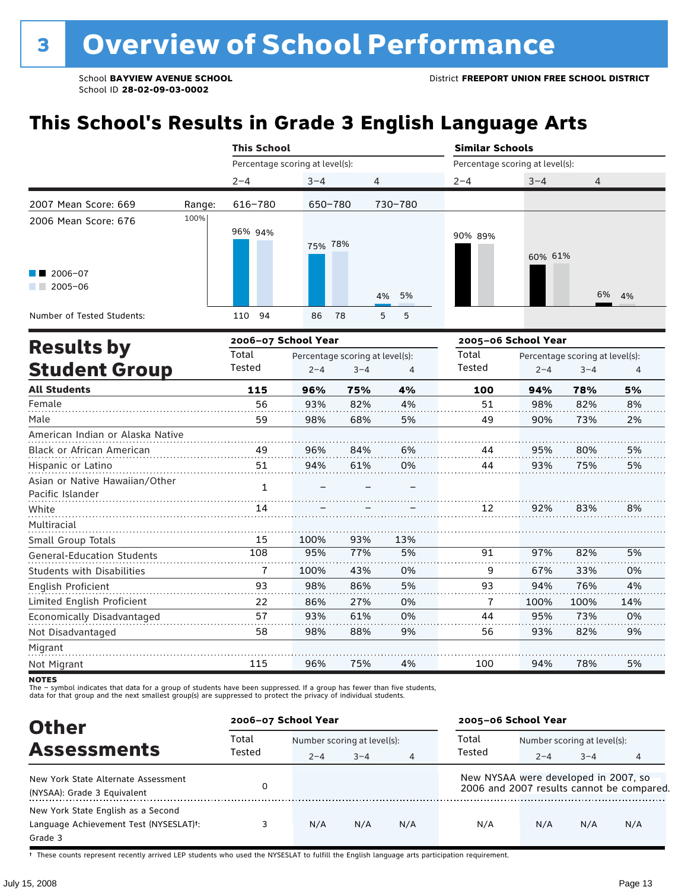# **This School's Results in Grade 3 English Language Arts**

|                                   |        |         | <b>This School</b> |                                 |                                 |                |     | <b>Similar Schools</b>          |         |                                 |          |
|-----------------------------------|--------|---------|--------------------|---------------------------------|---------------------------------|----------------|-----|---------------------------------|---------|---------------------------------|----------|
|                                   |        |         |                    | Percentage scoring at level(s): |                                 |                |     | Percentage scoring at level(s): |         |                                 |          |
|                                   |        | $2 - 4$ |                    | $3 - 4$                         |                                 | $\overline{4}$ |     | $2 - 4$                         | $3 - 4$ | 4                               |          |
| 2007 Mean Score: 669              | Range: |         | $616 - 780$        |                                 | 650-780                         | 730-780        |     |                                 |         |                                 |          |
| 2006 Mean Score: 676              | 100%   |         | 96% 94%            | 75% 78%                         |                                 |                |     | 90% 89%                         | 60% 61% |                                 |          |
| 2006-07<br>$2005 - 06$            |        |         |                    |                                 |                                 | 4%             | 5%  |                                 |         | 6%                              | 4%       |
| Number of Tested Students:        |        | 110     | 94                 | 86                              | 78                              | 5              | 5   |                                 |         |                                 |          |
|                                   |        |         |                    | 2006-07 School Year             |                                 |                |     | 2005-06 School Year             |         |                                 |          |
| <b>Results by</b>                 |        | Total   |                    |                                 | Percentage scoring at level(s): |                |     | Total                           |         | Percentage scoring at level(s): |          |
| <b>Student Group</b>              |        | Tested  |                    | $2 - 4$                         | $3 - 4$                         |                | 4   | <b>Tested</b>                   | $2 - 4$ | $3 - 4$                         | $\Delta$ |
| <b>All Students</b>               |        |         | 115                | 96%                             | 75%                             |                | 4%  | 100                             | 94%     | 78%                             | 5%       |
| Female                            |        |         | 56                 | 93%                             | 82%                             |                | 4%  | 51                              | 98%     | 82%                             | 8%       |
| Male                              |        |         | 59                 | 98%                             | 68%                             |                | 5%  | 49                              | 90%     | 73%                             | 2%       |
| American Indian or Alaska Native  |        |         |                    |                                 |                                 |                |     |                                 |         |                                 |          |
| Black or African American         |        |         | 49                 | 96%                             | 84%                             |                | 6%  | 44                              | 95%     | 80%                             | 5%       |
| Hispanic or Latino                |        |         | 51                 | 94%                             | 61%                             |                | 0%  | 44                              | 93%     | 75%                             | 5%       |
| Asian or Native Hawaiian/Other    |        |         | $\mathbf{1}$       |                                 |                                 |                |     |                                 |         |                                 |          |
| Pacific Islander                  |        |         |                    |                                 |                                 |                |     |                                 |         |                                 |          |
| White                             |        |         | 14                 |                                 |                                 |                |     | 12                              | 92%     | 83%                             | 8%       |
| Multiracial                       |        |         |                    |                                 |                                 |                |     |                                 |         |                                 |          |
| Small Group Totals                |        |         | 15                 | 100%                            | 93%                             |                | 13% |                                 |         |                                 |          |
| <b>General-Education Students</b> |        |         | 108                | 95%                             | 77%                             |                | 5%  | 91                              | 97%     | 82%                             | 5%       |
| <b>Students with Disabilities</b> |        |         | 7                  | 100%                            | 43%                             |                | 0%  | 9                               | 67%     | 33%                             | 0%       |
| <b>English Proficient</b>         |        |         | 93                 | 98%                             | 86%                             |                | 5%  | 93                              | 94%     | 76%                             | 4%       |
| Limited English Proficient        |        |         | 22                 | 86%                             | 27%                             |                | 0%  | 7                               | 100%    | 100%                            | 14%      |
| Economically Disadvantaged        |        |         | 57                 | 93%                             | 61%                             |                | 0%  | 44                              | 95%     | 73%                             | 0%       |

Migrant  $1.1.1.1.1$ . . . . . . . . 94% 5% Not Migrant 115 96% 75% 4% 100 78%

88%

9%

56

93%

82%

9%

98%

Not Disadvantaged

The – symbol indicates that data for a group of students have been suppressed. If a group has fewer than five students,<br>data for that group and the next smallest group(s) are suppressed to protect the privacy of individual

58

| <b>Other</b>                                                                            | 2006-07 School Year |                             |         |                | 2005-06 School Year                  |                             |         |                                           |
|-----------------------------------------------------------------------------------------|---------------------|-----------------------------|---------|----------------|--------------------------------------|-----------------------------|---------|-------------------------------------------|
|                                                                                         | Total               | Number scoring at level(s): |         |                | Total                                | Number scoring at level(s): |         |                                           |
| <b>Assessments</b>                                                                      | Tested              | $2 - 4$                     | $3 - 4$ | $\overline{4}$ | Tested                               | $2 - 4$                     | $3 - 4$ | 4                                         |
| New York State Alternate Assessment<br>(NYSAA): Grade 3 Equivalent                      |                     |                             |         |                | New NYSAA were developed in 2007, so |                             |         | 2006 and 2007 results cannot be compared. |
| New York State English as a Second<br>Language Achievement Test (NYSESLAT)t:<br>Grade 3 |                     | N/A                         | N/A     | N/A            | N/A                                  | N/A                         | N/A     | N/A                                       |

† These counts represent recently arrived LEP students who used the NYSESLAT to fulfill the English language arts participation requirement.

**NOTES**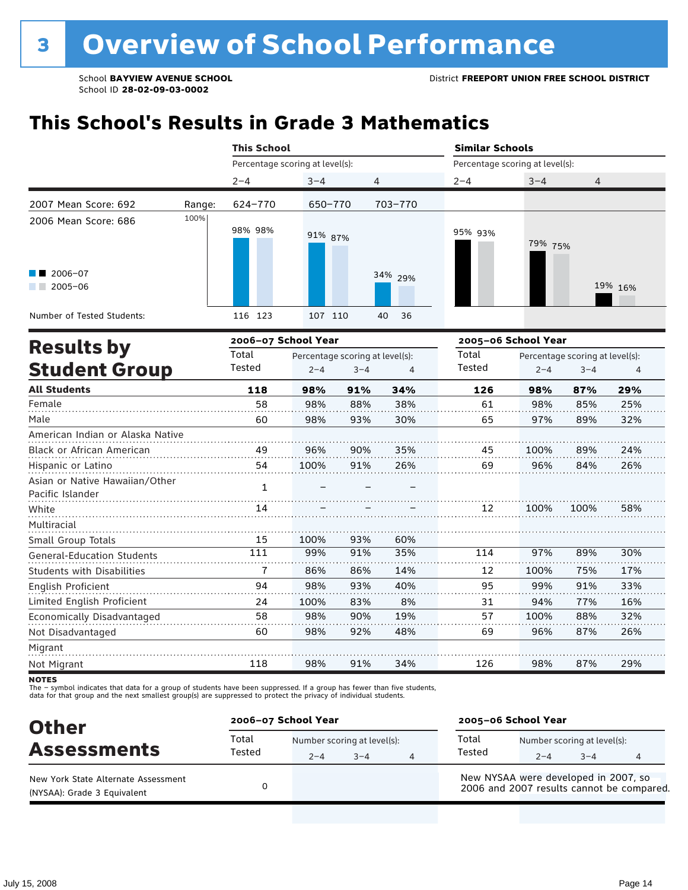# **This School's Results in Grade 3 Mathematics**

|                                                    |        | <b>This School</b>  |                                 |                                 |          | <b>Similar Schools</b>          |         |                                 |         |  |
|----------------------------------------------------|--------|---------------------|---------------------------------|---------------------------------|----------|---------------------------------|---------|---------------------------------|---------|--|
|                                                    |        |                     | Percentage scoring at level(s): |                                 |          | Percentage scoring at level(s): |         |                                 |         |  |
|                                                    |        | $2 - 4$             | $3 - 4$                         | 4                               |          | $2 - 4$                         | $3 - 4$ | 4                               |         |  |
| 2007 Mean Score: 692                               | Range: | 624-770             | 650-770                         |                                 | 703-770  |                                 |         |                                 |         |  |
| 2006 Mean Score: 686                               | 100%   | 98% 98%             | 91% 87%                         |                                 |          | 95% 93%                         | 79% 75% |                                 |         |  |
| 2006-07<br>$2005 - 06$                             |        |                     |                                 |                                 | 34% 29%  |                                 |         |                                 | 19% 16% |  |
| Number of Tested Students:                         |        | 116 123             | 107 110                         |                                 | 40<br>36 |                                 |         |                                 |         |  |
|                                                    |        | 2006-07 School Year |                                 |                                 |          | 2005-06 School Year             |         |                                 |         |  |
| <b>Results by</b>                                  |        | Total               |                                 | Percentage scoring at level(s): |          | Total                           |         | Percentage scoring at level(s): |         |  |
| <b>Student Group</b>                               |        | Tested              | $2 - 4$                         | $3 - 4$                         | 4        | Tested                          | $2 - 4$ | $3 - 4$                         | 4       |  |
| <b>All Students</b>                                |        | 118                 | 98%                             | 91%                             | 34%      | 126                             | 98%     | 87%                             | 29%     |  |
| Female                                             |        | 58                  | 98%                             | 88%                             | 38%      | 61                              | 98%     | 85%                             | 25%     |  |
| Male                                               |        | 60                  | 98%                             | 93%                             | 30%      | 65                              | 97%     | 89%                             | 32%     |  |
| American Indian or Alaska Native                   |        |                     |                                 |                                 |          |                                 |         |                                 |         |  |
| Black or African American                          |        | 49                  | 96%                             | 90%                             | 35%      | 45                              | 100%    | 89%                             | 24%     |  |
| Hispanic or Latino                                 |        | 54                  | 100%                            | 91%                             | 26%      | 69                              | 96%     | 84%                             | 26%     |  |
| Asian or Native Hawaiian/Other<br>Pacific Islander |        | $\mathbf{1}$        |                                 |                                 |          |                                 |         |                                 |         |  |
| White                                              |        | 14                  |                                 |                                 |          | 12 <sup>1</sup>                 | 100%    | 100%                            | 58%     |  |
| Multiracial                                        |        |                     |                                 |                                 |          |                                 |         |                                 |         |  |
| $C_{\text{mall}}$ $C_{\text{roun}}$ Totalc         |        | $15$ $100\%$        |                                 | <b>OCO</b>                      | 600L     |                                 |         |                                 |         |  |

| Small Group Totals                | 15  | 100% | 93% | 60% |     |      |     |     |
|-----------------------------------|-----|------|-----|-----|-----|------|-----|-----|
| <b>General-Education Students</b> | 111 | 99%  | 91% | 35% | 114 | 97%  | 89% | 30% |
| <b>Students with Disabilities</b> |     | 86%  | 86% | 14% | 12  | 100% | 75% | 17% |
| English Proficient                | 94  | 98%  | 93% | 40% | 95  | 99%  | 91% | 33% |
| Limited English Proficient        | 24  | 100% | 83% | 8%  | 31  | 94%  | 77% | 16% |
| Economically Disadvantaged        | 58  | 98%  | 90% | 19% | 57  | 100% | 88% | 32% |
| Not Disadvantaged                 | 60  | 98%  | 92% | 48% | 69  | 96%  | 87% | 26% |
| Migrant                           |     |      |     |     |     |      |     |     |
| Not Migrant                       | 118 | 98%  | 91% | 34% | L26 | 98%  | 87% | 29% |

**NOTES** 

The – symbol indicates that data for a group of students have been suppressed. If a group has fewer than five students,<br>data for that group and the next smallest group(s) are suppressed to protect the privacy of individual

| <b>Other</b>                                                       | 2006-07 School Year |                                        |         |   | 2005-06 School Year                                                               |         |                                        |  |  |
|--------------------------------------------------------------------|---------------------|----------------------------------------|---------|---|-----------------------------------------------------------------------------------|---------|----------------------------------------|--|--|
| <b>Assessments</b>                                                 | Total<br>Tested     | Number scoring at level(s):<br>$2 - 4$ | $3 - 4$ | 4 | Total<br>Tested                                                                   | $2 - 4$ | Number scoring at level(s):<br>$3 - 4$ |  |  |
| New York State Alternate Assessment<br>(NYSAA): Grade 3 Equivalent |                     |                                        |         |   | New NYSAA were developed in 2007, so<br>2006 and 2007 results cannot be compared. |         |                                        |  |  |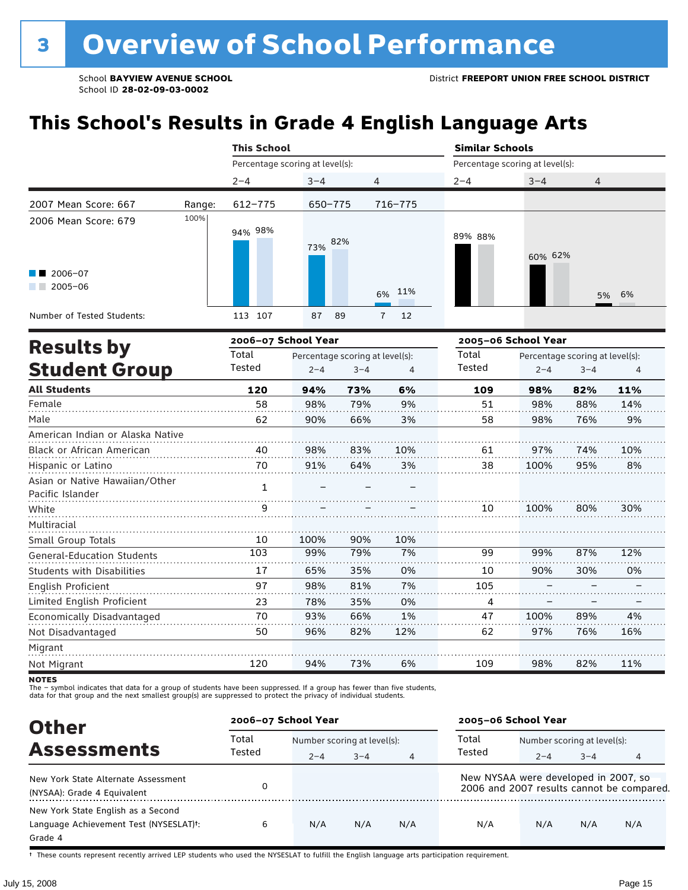# **This School's Results in Grade 4 English Language Arts**

|                                                    |        | <b>This School</b>              |                                 |                                 |                      | <b>Similar Schools</b> |                     |                                 |     |  |
|----------------------------------------------------|--------|---------------------------------|---------------------------------|---------------------------------|----------------------|------------------------|---------------------|---------------------------------|-----|--|
|                                                    |        | Percentage scoring at level(s): |                                 | Percentage scoring at level(s): |                      |                        |                     |                                 |     |  |
|                                                    |        | $2 - 4$                         | $3 - 4$                         |                                 | 4                    | $2 - 4$                | $3 - 4$             | 4                               |     |  |
| 2007 Mean Score: 667                               | Range: | 612-775                         | 650-775                         |                                 | 716-775              |                        |                     |                                 |     |  |
| 2006 Mean Score: 679                               | 100%   | 94% 98%                         | 73%                             | 82%                             |                      | 89% 88%                | 60% 62%             |                                 |     |  |
| 2006-07<br>$2005 - 06$                             |        |                                 |                                 |                                 | 11%<br>6%            |                        |                     | 5%                              | 6%  |  |
| Number of Tested Students:                         |        | 113 107                         | 87                              | 89                              | 12<br>$\overline{7}$ |                        |                     |                                 |     |  |
| <b>Results by</b>                                  |        | 2006-07 School Year             |                                 |                                 |                      |                        | 2005-06 School Year |                                 |     |  |
|                                                    |        | Total                           | Percentage scoring at level(s): |                                 |                      | Total                  |                     | Percentage scoring at level(s): |     |  |
| <b>Student Group</b>                               |        | Tested                          | $2 - 4$                         | $3 - 4$                         | 4                    | Tested                 | $2 - 4$             | $3 - 4$                         | 4   |  |
| <b>All Students</b>                                |        | 120                             | 94%                             | 73%                             | 6%                   | 109                    | 98%                 | 82%                             | 11% |  |
| Female                                             |        | 58                              | 98%                             | 79%                             | 9%                   | 51                     | 98%                 | 88%                             | 14% |  |
| Male                                               |        | 62                              | 90%                             | 66%                             | 3%                   | 58                     | 98%                 | 76%                             | 9%  |  |
| American Indian or Alaska Native                   |        |                                 |                                 |                                 |                      |                        |                     |                                 |     |  |
| Black or African American                          |        | 40                              | 98%                             | 83%                             | 10%                  | 61                     | 97%                 | 74%                             | 10% |  |
| Hispanic or Latino                                 |        | 70                              | 91%                             | 64%                             | 3%                   | 38                     | 100%                | 95%                             | 8%  |  |
| Asian or Native Hawaiian/Other<br>Pacific Islander |        | $\mathbf{1}$                    |                                 |                                 |                      |                        |                     |                                 |     |  |
| White                                              |        | 9                               |                                 |                                 |                      | 10                     | 100%                | 80%                             | 30% |  |
| Multiracial                                        |        |                                 |                                 |                                 |                      |                        |                     |                                 |     |  |
| Small Group Totals                                 |        | 10                              | 100%                            | 90%                             | 10%                  |                        |                     |                                 |     |  |
| <b>General-Education Students</b>                  |        | 103                             | 99%                             | 79%                             | 7%                   | 99                     | 99%                 | 87%                             | 12% |  |
| <b>Students with Disabilities</b>                  |        | 17                              | 65%                             | 35%                             | 0%                   | 10                     | 90%                 | 30%                             | 0%  |  |
| English Proficient                                 |        | 97                              | 98%                             | 81%                             | 7%                   | 105                    |                     |                                 |     |  |
| Limited English Proficient                         |        | 23                              | 78%                             | 35%                             | 0%                   | 4                      |                     |                                 |     |  |
| Economically Disadvantaged                         |        | 70                              | 93%                             | 66%                             | 1%                   | 47                     | 100%                | 89%                             | 4%  |  |
| Not Disadvantaged                                  |        | 50                              | 96%                             | 82%                             | 12%                  | 62                     | 97%                 | 76%                             | 16% |  |
| Migrant                                            |        |                                 |                                 |                                 |                      |                        |                     |                                 |     |  |
| Not Migrant                                        |        | 120                             | 94%                             | 73%                             | 6%                   | 109                    | 98%                 | 82%                             | 11% |  |

**NOTES** 

The – symbol indicates that data for a group of students have been suppressed. If a group has fewer than five students,<br>data for that group and the next smallest group(s) are suppressed to protect the privacy of individual

| <b>Other</b>                                                                            | 2006-07 School Year |         |                             |                | 2005-06 School Year                  |                             |         |                                           |
|-----------------------------------------------------------------------------------------|---------------------|---------|-----------------------------|----------------|--------------------------------------|-----------------------------|---------|-------------------------------------------|
|                                                                                         | Total               |         | Number scoring at level(s): |                |                                      | Number scoring at level(s): |         |                                           |
| <b>Assessments</b>                                                                      | Tested              | $2 - 4$ | $3 - 4$                     | $\overline{4}$ | Tested                               | $2 - 4$                     | $3 - 4$ |                                           |
| New York State Alternate Assessment<br>(NYSAA): Grade 4 Equivalent                      | 0                   |         |                             |                | New NYSAA were developed in 2007, so |                             |         | 2006 and 2007 results cannot be compared. |
| New York State English as a Second<br>Language Achievement Test (NYSESLAT)t:<br>Grade 4 | 6                   | N/A     | N/A                         | N/A            | N/A                                  | N/A                         | N/A     | N/A                                       |

† These counts represent recently arrived LEP students who used the NYSESLAT to fulfill the English language arts participation requirement.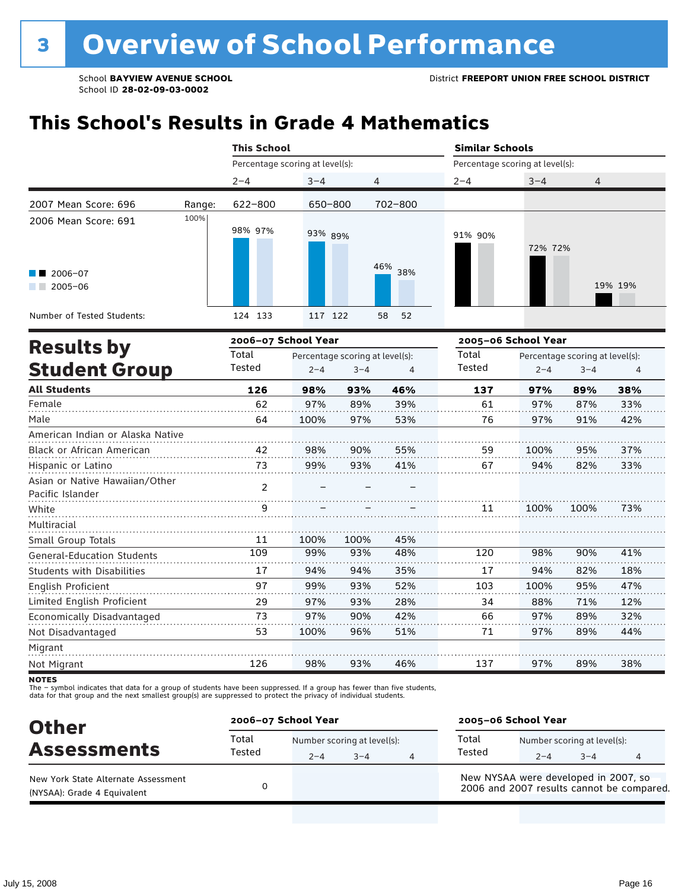# **This School's Results in Grade 4 Mathematics**

|                                                    |                 | <b>This School</b>                         |         |                |                 | <b>Similar Schools</b>          |                                            |      |         |  |  |
|----------------------------------------------------|-----------------|--------------------------------------------|---------|----------------|-----------------|---------------------------------|--------------------------------------------|------|---------|--|--|
|                                                    |                 | Percentage scoring at level(s):            |         |                |                 | Percentage scoring at level(s): |                                            |      |         |  |  |
|                                                    |                 | $2 - 4$                                    | $3 - 4$ | 4              |                 | $2 - 4$                         | $3 - 4$                                    | 4    |         |  |  |
| 2007 Mean Score: 696                               | Range:          | $622 - 800$                                | 650-800 |                | 702-800         |                                 |                                            |      |         |  |  |
| 2006 Mean Score: 691                               | 100%            | 98% 97%                                    | 93% 89% |                |                 | 91% 90%                         | 72% 72%                                    |      |         |  |  |
| 2006-07<br>$2005 - 06$                             |                 |                                            |         |                | 46% 38%         |                                 |                                            |      | 19% 19% |  |  |
| Number of Tested Students:                         |                 | 124 133                                    | 117 122 |                | 52<br>58        |                                 |                                            |      |         |  |  |
|                                                    |                 | 2006-07 School Year                        |         |                |                 |                                 | 2005-06 School Year                        |      |         |  |  |
| <b>Results by</b><br><b>Student Group</b>          | Total<br>Tested | Percentage scoring at level(s):<br>$2 - 4$ | $3 - 4$ | $\overline{4}$ | Total<br>Tested | $2 - 4$                         | Percentage scoring at level(s):<br>$3 - 4$ | 4    |         |  |  |
| <b>All Students</b>                                |                 | 126                                        | 98%     | 93%            | 46%             | 137                             | 97%                                        | 89%  | 38%     |  |  |
| Female                                             |                 | 62                                         | 97%     | 89%            | 39%             | 61                              | 97%                                        | 87%  | 33%     |  |  |
| Male                                               |                 | 64                                         | 100%    | 97%            | 53%             | 76                              | 97%                                        | 91%  | 42%     |  |  |
| American Indian or Alaska Native                   |                 |                                            |         |                |                 |                                 |                                            |      |         |  |  |
| Black or African American                          |                 | 42                                         | 98%     | 90%            | 55%             | 59                              | 100%                                       | 95%  | 37%     |  |  |
| Hispanic or Latino                                 |                 | 73                                         | 99%     | 93%            | 41%             | 67                              | 94%                                        | 82%  | 33%     |  |  |
| Asian or Native Hawaiian/Other<br>Pacific Islander |                 | $\overline{2}$                             |         |                |                 |                                 |                                            |      |         |  |  |
| White                                              |                 | q                                          |         |                |                 | 11                              | 100%                                       | 100% | 73%     |  |  |
| Multiracial                                        |                 |                                            |         |                |                 |                                 |                                            |      |         |  |  |
| Small Group Totals                                 |                 | 11                                         | 100%    | 100%           | 45%             |                                 |                                            |      |         |  |  |
| <b>General-Education Students</b>                  |                 | 109                                        | 99%     | 93%            | 48%             | 120                             | 98%                                        | 90%  | 41%     |  |  |
| <b>Students with Disabilities</b>                  |                 | 17                                         | 94%     | 94%            | 35%             | 17                              | 94%                                        | 82%  | 18%     |  |  |
| English Proficient                                 |                 | 97                                         | 99%     | 93%            | 52%             | 103                             | 100%                                       | 95%  | 47%     |  |  |
| Limited English Proficient                         |                 | 29                                         | 97%     | 93%            | 28%             | 34                              | 88%                                        | 71%  | 12%     |  |  |
| Economically Disadvantaged                         |                 | 73                                         | 97%     | 90%            | 42%             | 66                              | 97%                                        | 89%  | 32%     |  |  |
| Not Disadvantaged                                  |                 | 53                                         | 100%    | 96%            | 51%             | 71                              | 97%                                        | 89%  | 44%     |  |  |
| Migrant                                            |                 |                                            |         |                |                 |                                 |                                            |      |         |  |  |
| Not Migrant                                        |                 | 126                                        | 98%     | 93%            | 46%             | 137                             | 97%                                        | 89%  | 38%     |  |  |

**NOTES** 

The – symbol indicates that data for a group of students have been suppressed. If a group has fewer than five students,<br>data for that group and the next smallest group(s) are suppressed to protect the privacy of individual

| <b>Other</b>                                                       | 2006-07 School Year |         |                                     |   | 2005-06 School Year                                                               |         |                                        |  |
|--------------------------------------------------------------------|---------------------|---------|-------------------------------------|---|-----------------------------------------------------------------------------------|---------|----------------------------------------|--|
| <b>Assessments</b>                                                 | Total<br>Tested     | $2 - 4$ | Number scoring at level(s):<br>$-4$ | 4 | Total<br>Tested                                                                   | $2 - 4$ | Number scoring at level(s):<br>$3 - 4$ |  |
| New York State Alternate Assessment<br>(NYSAA): Grade 4 Equivalent |                     |         |                                     |   | New NYSAA were developed in 2007, so<br>2006 and 2007 results cannot be compared. |         |                                        |  |